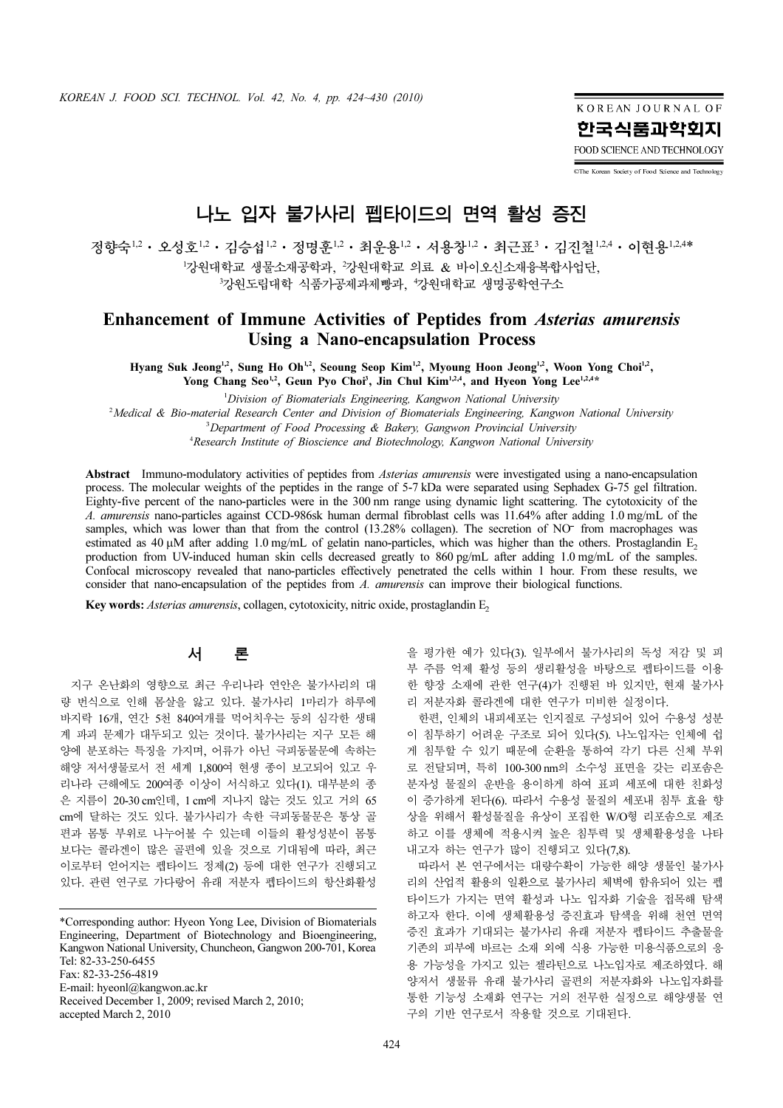KOREAN JOURNAL OF 한국식품과학회지 FOOD SCIENCE AND TECHNOLOGY

CThe Korean Society of Food Science and Technology

# 나노 입자 불가사리 펩타이드의 면역 활성 증진

정향숙<sup>1,2</sup>ㆍ오성호<sup>1,2</sup>ㆍ김승섭<sup>1,2</sup>ㆍ정명훈<sup>1,2</sup>ㆍ최운용<sup>1,2</sup>ㆍ서용창<sup>1,2</sup>ㆍ최근표<sup>3</sup>ㆍ김진철<sup>1,2,4</sup>ㆍ이현용<sup>1,2,4</sup>\* <sup>1</sup>강원대학교 생물소재공학과, '강원대학교 의료 & 바이오신소재융복합사업단, 3강원도립대학 식품가공제과제빵과, 4강원대학교 생명공학연구소

## Enhancement of Immune Activities of Peptides from Asterias amurensis Using a Nano-encapsulation Process

Hyang Suk Jeong<sup>1,2</sup>, Sung Ho Oh<sup>1,2</sup>, Seoung Seop Kim<sup>1,2</sup>, Myoung Hoon Jeong<sup>1,2</sup>, Woon Yong Choi<sup>1,2</sup>, Yong Chang Seo<sup>1,2</sup>, Geun Pyo Choi<sup>3</sup>, Jin Chul Kim<sup>1,2,4</sup>, and Hyeon Yong Lee<sup>1,2,4\*</sup>

Division of Biomaterials Engineering, Kangwon National University 2 Medical & Bio-material Research Center and Division of Biomaterials Engineering, Kangwon National University 3 Department of Food Processing & Bakery, Gangwon Provincial University <sup>4</sup> Research Institute of Bioscience and Biotechnology, Kangwon National University

Abstract Immuno-modulatory activities of peptides from *Asterias amurensis* were investigated using a nano-encapsulation process. The molecular weights of the peptides in the range of 5-7 kDa were separated using Sephadex G-75 gel filtration. Eighty-five percent of the nano-particles were in the 300 nm range using dynamic light scattering. The cytotoxicity of the A. amurensis nano-particles against CCD-986sk human dermal fibroblast cells was 11.64% after adding 1.0 mg/mL of the samples, which was lower than that from the control (13.28% collagen). The secretion of NO<sup>-</sup> from macrophages was ∍<br>0 estimated as 40 µM after adding 1.0 mg/mL of gelatin nano-particles, which was higher than the others. Prostaglandin E<sub>2</sub> production from UV-induced human skin cells decreased greatly to 860 pg/mL after adding 1.0 mg/mL of the samples. Confocal microscopy revealed that nano-particles effectively penetrated the cells within 1 hour. From these results, we consider that nano-encapsulation of the peptides from A. amurensis can improve their biological functions.

Key words: Asterias amurensis, collagen, cytotoxicity, nitric oxide, prostaglandin E,

## 서 론

지구 온난화의 영향으로 최근 우리나라 연안은 불가사리의 대 량 번식으로 인해 몸살을 앓고 있다. 불가사리 1마리가 하루에 바지락 16개, 연간 5천 840여개를 먹어치우는 등의 심각한 생태 계 파괴 문제가 대두되고 있는 것이다. 불가사리는 지구 모든 해 양에 분포하는 특징을 가지며, 어류가 아닌 극피동물문에 속하는 해양 저서생물로서 전 세계 1,800여 현생 종이 보고되어 있고 우 리나라 근해에도 200여종 이상이 서식하고 있다(1). 대부분의 종 은 지름이 20-30 cm인데, 1 cm에 지나지 않는 것도 있고 거의 65 cm에 달하는 것도 있다. 불가사리가 속한 극피동물문은 통상 골 편과 몸통 부위로 나누어볼 수 있는데 이들의 활성성분이 몸통 보다는 콜라겐이 많은 골편에 있을 것으로 기대됨에 따라, 최근 이로부터 얻어지는 펩타이드 정제(2) 등에 대한 연구가 진행되고 있다. 관련 연구로 가다랑어 유래 저분자 펩타이드의 항산화활성

\*Corresponding author: Hyeon Yong Lee, Division of Biomaterials Engineering, Department of Biotechnology and Bioengineering, Kangwon National University, Chuncheon, Gangwon 200-701, Korea Tel: 82-33-250-6455 Fax: 82-33-256-4819 E-mail: hyeonl@kangwon.ac.kr Received December 1, 2009; revised March 2, 2010; accepted March 2, 2010

을 평가한 예가 있다(3). 일부에서 불가사리의 독성 저감 및 피 부 주름 억제 활성 등의 생리활성을 바탕으로 펩타이드를 이용 한 향장 소재에 관한 연구(4)가 진행된 바 있지만, 현재 불가사 리 저분자화 콜라겐에 대한 연구가 미비한 실정이다.

한편, 인체의 내피세포는 인지질로 구성되어 있어 수용성 성분 이 침투하기 어려운 구조로 되어 있다(5). 나노입자는 인체에 쉽 게 침투할 수 있기 때문에 순환을 통하여 각기 다른 신체 부위 로 전달되며, 특히 100-300 nm의 소수성 표면을 갖는 리포솜은 분자성 물질의 운반을 용이하게 하여 표피 세포에 대한 친화성 이 증가하게 된다(6). 따라서 수용성 물질의 세포내 침투 효율 향 상을 위해서 활성물질을 유상이 포집한 W/O형 리포솜으로 제조 하고 이를 생체에 적용시켜 높은 침투력 및 생체활용성을 나타 내고자 하는 연구가 많이 진행되고 있다(7,8).

**N\_M**<br>(1월 <sup>1,24</sup> • 이현용 <sup>1,2,4\*</sup><br>일<sup>1,24</sup> • 이현용 <sup>1,2,4\*</sup><br>없<br>Ids *amurensis*<br>m Yong Choi<sup>12</sup>,<br> $e^{1.2.4*}$ <br>Mational University<br>,<br>ing a nano-encapsulation<br>adex G-75 gel filtration.<br>adex G-75 gel filtration.<br>madex G-75 gel filt 따라서 본 연구에서는 대량수확이 가능한 해양 생물인 불가사 리의 산업적 활용의 일환으로 불가사리 체벽에 함유되어 있는 펩 타이드가 가지는 면역 활성과 나노 입자화 기술을 접목해 탐색 하고자 한다. 이에 생체활용성 증진효과 탐색을 위해 천연 면역 증진 효과가 기대되는 불가사리 유래 저분자 펩타이드 추출물을 기존의 피부에 바르는 소재 외에 식용 가능한 미용식품으로의 응 용 가능성을 가지고 있는 젤라틴으로 나노입자로 제조하였다. 해 양저서 생물류 유래 불가사리 골편의 저분자화와 나노입자화를 통한 기능성 소재화 연구는 거의 전무한 실정으로 해양생물 연 구의 기반 연구로서 작용할 것으로 기대된다.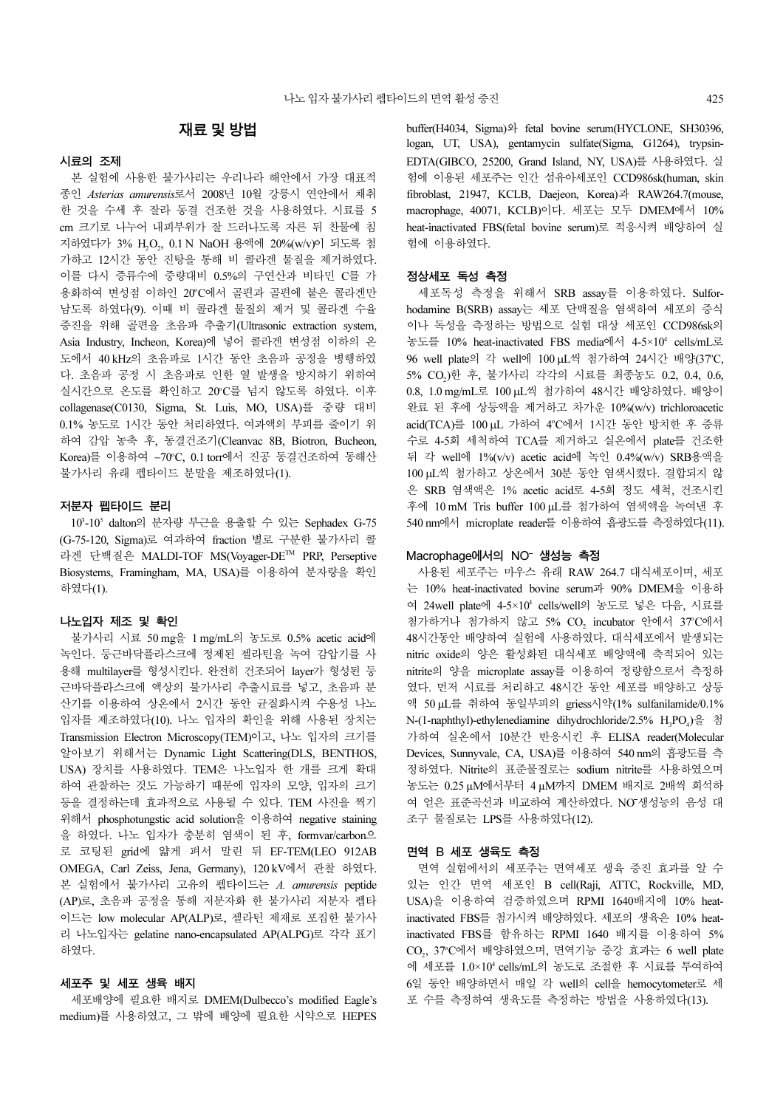## 재료및방법

#### 시료의 조제

본 실험에 사용한 불가사리는 우리나라 해안에서 가장 대표적 종인 Asterias amurensis로서 2008년 10월 강릉시 연안에서 채취 한 것을 수세 후 잘라 동결 건조한 것을 사용하였다. 시료를 5 cm 크기로 나누어 내피부위가 잘 드러나도록 자른 뒤 찬물에 침 지하였다가 3% H<sub>2</sub>O<sub>2</sub>, 0.1 N NaOH 용액에 20%(w/v)이 되도록 첨<br>그러고 40시간 도입 같다요 등행 방 글라만 묘단을 행정하였다. 가하고 12시간 동안 진탕을 통해 비 콜라겐 물질을 제거하였다. 이를 다시 증류수에 중량대비 0.5%의 구연산과 비타민 C를 가 용화하여 변성점 이하인 20°C에서 골편과 골편에 붙은 콜라겐만 남도록 하였다(9). 이때 비 콜라겐 물질의 제거 및 콜라겐 수율 증진을 위해 골편을 초음파 추출기(Ultrasonic extraction system, Asia Industry, Incheon, Korea)에 넣어 콜라겐 변성점 이하의 온 도에서 40 kHz의 초음파로 1시간 동안 초음파 공정을 병행하였 다. 초음파 공정 시 초음파로 인한 열 발생을 방지하기 위하여 실시간으로 온도를 확인하고 20°C를 넘지 않도록 하였다. 이후 collagenase(C0130, Sigma, St. Luis, MO, USA)를 중량 대비 0.1% 농도로 1시간 동안 처리하였다. 여과액의 부피를 줄이기 위 하여 감압 농축 후, 동결건조기(Cleanvac 8B, Biotron, Bucheon, Korea)를 이용하여 −70℃, 0.1 torr에서 진공 동결건조하여 동해산 불가사리 유래 펩타이드 분말을 제조하였다(1).

#### 저분자 펩타이드 분리

10<sup>3</sup> -10<sup>5</sup> dalton의 분자량 부근을 용출할 수 있는 Sephadex G-75 (G-75-120, Sigma)로 여과하여 fraction 별로 구분한 불가사리 콜 라겐 단백질은 MALDI-TOF MS(Voyager-DETM PRP, Perseptive Biosystems, Framingham, MA, USA)를 이용하여 분자량을 확인 하였다(1).

#### 나노입자 제조 및 확인

불가사리 시료 50 mg을 1 mg/mL의 농도로 0.5% acetic acid에 녹인다. 둥근바닥플라스크에 정제된 젤라틴을 녹여 감압기를 사 용해 multilayer를 형성시킨다. 완전히 건조되어 layer가 형성된 둥 근바닥플라스크에 액상의 불가사리 추출시료를 넣고, 초음파 분 산기를 이용하여 상온에서 2시간 동안 균질화시켜 수용성 나노 입자를 제조하였다(10). 나노 입자의 확인을 위해 사용된 장치는 Transmission Electron Microscopy(TEM)이고, 나노 입자의 크기를 알아보기 위해서는 Dynamic Light Scattering(DLS, BENTHOS, USA) 장치를 사용하였다. TEM은 나노입자 한 개를 크게 확대 하여 관찰하는 것도 가능하기 때문에 입자의 모양, 입자의 크기 등을 결정하는데 효과적으로 사용될 수 있다. TEM 사진을 찍기 위해서 phosphotungstic acid solution을 이용하여 negative staining 을 하였다. 나노 입자가 충분히 염색이 된 후, formvar/carbon으 로 코팅된 grid에 얇게 펴서 말린 뒤 EF-TEM(LEO 912AB OMEGA, Carl Zeiss, Jena, Germany), 120 kV에서 관찰 하였다. 본 실험에서 불가사리 고유의 펩타이드는 A. amurensis peptide (AP)로, 초음파 공정을 통해 저분자화 한 불가사리 저분자 펩타 이드는 low molecular AP(ALP)로, 젤라틴 제재로 포집한 불가사 리 나노입자는 gelatine nano-encapsulated AP(ALPG)로 각각 표기 하였다.

#### 세포주 및 세포 생육 배지

세포배양에 필요한 배지로 DMEM(Dulbecco's modified Eagle's medium)를 사용하였고, 그 밖에 배양에 필요한 시약으로 HEPES buffer(H4034, Sigma)와 fetal bovine serum(HYCLONE, SH30396, logan, UT, USA), gentamycin sulfate(Sigma, G1264), trypsin-EDTA(GIBCO, 25200, Grand Island, NY, USA)를 사용하였다. 실 험에 이용된 세포주는 인간 섬유아세포인 CCD986sk(human, skin fibroblast, 21947, KCLB, Daejeon, Korea)과 RAW264.7(mouse, macrophage, 40071, KCLB)이다. 세포는 모두 DMEM에서 10% heat-inactivated FBS(fetal bovine serum)로 적응시켜 배양하여 실 험에 이용하였다.

#### 정상세포 독성 측정

세포독성 측정을 위해서 SRB assay를 이용하였다. Sulforhodamine B(SRB) assay는 세포 단백질을 염색하여 세포의 증식 이나 독성을 측정하는 방법으로 실험 대상 세포인 CCD986sk의 농도를 10% heat-inactivated FBS media에서 4-5×10<sup>4</sup> cells/mL로 96 well plate의 각 well에 100 μL씩 첨가하여 24시간 배양(37°C, 5% CO2)<sup>한</sup> <sup>후</sup>, 불가사리 각각의 시료를 최종농도 0.2, 0.4, 0.6, 0.8, 1.0 mg/mL로 100 µL씩 첨가하여 48시간 배양하였다. 배양이 완료 된 후에 상등액을 제거하고 차가운 10%(w/v) trichloroacetic acid(TCA)를 100 μL 가하여 4°C에서 1시간 동안 방치한 후 증류 수로 4-5회 세척하여 TCA를 제거하고 실온에서 plate를 건조한 뒤 각 well에 1%(v/v) acetic acid에 녹인 0.4%(w/v) SRB용액을 100 µL씩 첨가하고 상온에서 30분 동안 염색시켰다. 결합되지 않 은 SRB 염색액은 1% acetic acid로 4-5회 정도 세척, 건조시킨 후에 10 mM Tris buffer 100 µL를 첨가하여 염색액을 녹여낸 후 540 nm에서 microplate reader를 이용하여 흡광도를 측정하였다(11).

#### Macrophage에서의 NO<sup>-</sup> 생성능 측정

Macrophage에서의 NO<sup>-</sup> 생성능 측정<br>- 사용된 세포주는 마우스 유래 RAW 264.7 대식세포이며, 세포<br>는 10% heat-inactivated bovine serum과 90% DMEM을 이용하<br>- 10% heat-inactivated boyer weble heated and a 사용된 세포주는 마우스 유래 RAW 264.7 대식세포이며, 세포 여 24well plate에 4-5×10<sup>4</sup> cells/well의 농도로 넣은 다음, 시료를 첨가하거나 첨가하지 않고 5% CO<sub>2</sub> incubator 안에서 37°C에서<br>ASANT FAL WISHER ALS TREET WINDER AND WISH 48시간동안 배양하여 실험에 사용하였다. 대식세포에서 발생되는 nitric oxide의 양은 활성화된 대식세포 배양액에 축적되어 있는 nitrite의 양을 microplate assay를 이용하여 정량함으로서 측정하 였다. 먼저 시료를 처리하고 48시간 동안 세포를 배양하고 상등 액 50 µL를 취하여 동일부피의 griess시약(1% sulfanilamide/0.1% N-(1-naphthyl)-ethylenediamine dihydrochloride/2.5% H<sub>3</sub>PO<sub>4</sub>)을 첨 가하여 실온에서 10분간 반응시킨 후 ELISA reader(Molecular Devices, Sunnyvale, CA, USA)를 이용하여 540 nm의 흡광도를 측 정하였다. Nitrite의 표준물질로는 sodium nitrite를 사용하였으며 농도는 0.25 µM에서부터 4 µM까지 DMEM 배지로 2배씩 희석하 여 얻은 표준곡선과 비교하여 계산하였다. NO생성능의 음성 대 − 조구 물질로는 LPS를 사용하였다(12).

#### 면역 B 세포 생육도 측정

면역 실험에서의 세포주는 면역세포 생육 증진 효과를 알 수 있는 인간 면역 세포인 B cell(Raji, ATTC, Rockville, MD, USA)을 이용하여 검증하였으며 RPMI 1640배지에 10% heatinactivated FBS를 첨가시켜 배양하였다. 세포의 생육은 10% heatinactivated FBS를 함유하는 RPMI 1640 배지를 이용하여 5% CO<sub>2</sub>, 37°C에서 배양하였으며, 면역기능 증강 효과는 6 well plate 에 세포를 1.0×104 cells/mL의 농도로 조절한 후 시료를 투여하여 6일 동안 배양하면서 매일 각 well의 cell을 hemocytometer로 세 포 수를 측정하여 생육도를 측정하는 방법을 사용하였다(13).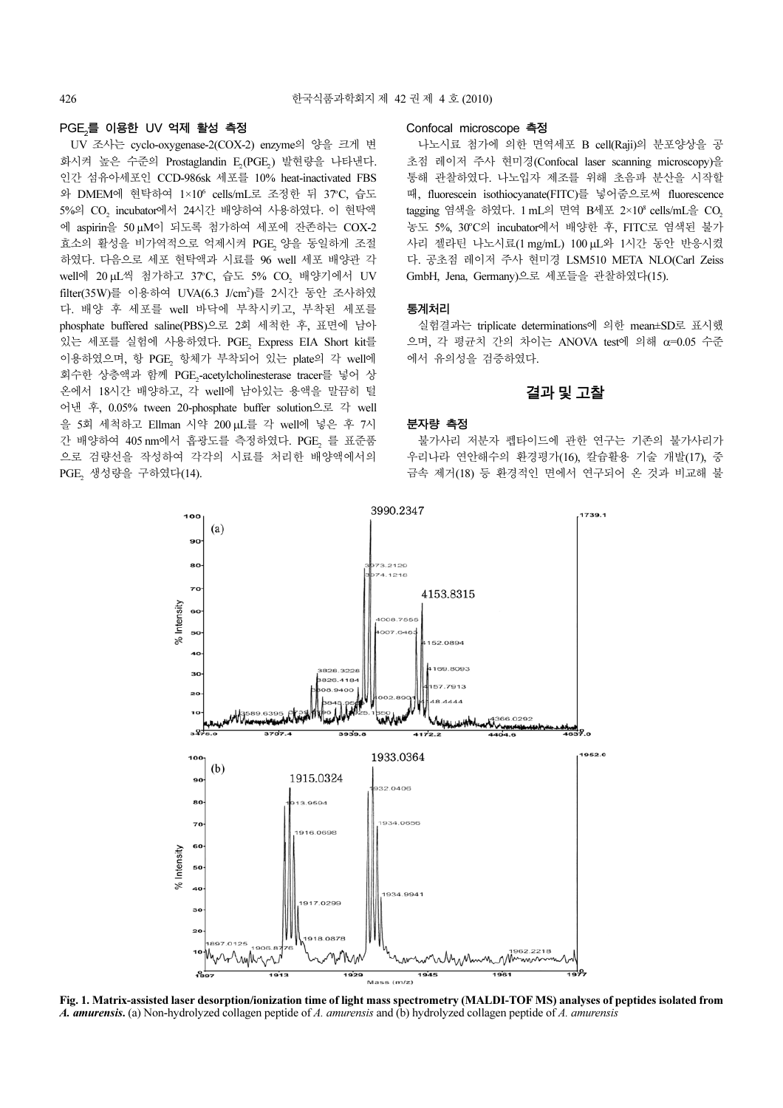#### PGE,를 이용한 UV 억제 활성 측정

PGE2 UV 조사는 cyclo-oxygenase-2(COX-2) enzyme의 양을 크게 변 화시켜 높은 수준의 Prostaglandin E<sub>2</sub>(PGE<sub>2</sub>) 발현량을 나타낸다.<br>이런 심용심생들은 SSP 886년 생들를 4866년 - 100년 10000 인간 섬유아세포인 CCD-986sk 세포를 10% heat-inactivated FBS 와 DMEM에 현탁하여 1×10<sup>6</sup> cells/mL로 조정한 뒤 37°C, 습도 5%의 CO2 incubator에서 24시간 <sup>배</sup>양하여 사용하였다. <sup>이</sup> <sup>현</sup>탁<sup>액</sup> 에 aspirin을 50 µM이 되도록 첨가하여 세포에 잔존하는 COX-2 효소의 활성을 비가역적으로 억제시켜 PGE<sub>2</sub> 양을 동일하게 조절<br>같습니 리오스크 렌프 힐링센터 신규를 *86 - 또 벤프 벨*인링 및 하였다. 다음으로 세포 현탁액과 시료를 96 well 세포 배양관 각 well에 20 µL씩 첨가하고 37°C, 습도 5% CO<sub>2</sub> 배양기에서 UV<br>CHA 2011 E 시오기나 UV (COVE) 등록 2시간 도시 고시기에 filter(35W)를 이용하여 UVA(6.3 J/cm<sup>2</sup> )를 2시간 동안 조사하였 다. 배양 후 세포를 well 바닥에 부착시키고, 부착된 세포를 phosphate buffered saline(PBS)으로 2회 세척한 후, 표면에 남아 있는 세포를 실험에 사용하였다. PGE<sub>2</sub> Express EIA Short kit를<br>Ale 기업 STL 한 PGE 한 같은 변한 단시 이 keta Ale 이 같은 방법 이용하였으며, 항 PGE<sub>2</sub> 항체가 부착되어 있는 plate의 각 well에<br>기술된 신호생님 링링 RSE 회수한 상층액과 함께 PGE2-acetylcholinesterase tracer<sup>를</sup> 넣어 <sup>상</sup> 온에서 18시간 배양하고, 각 well에 남아있는 용액을 말끔히 털 어낸 후, 0.05% tween 20-phosphate buffer solution으로 각 well 을 5회 세척하고 Ellman 시약 200 µL를 각 well에 넣은 후 7시 간 배양하여 405 nm에서 흡광도를 측정하였다. PGE<sub>2</sub> 를 표준품<br>승규 김갑신은 김신경신 김김성 신규를 당명히 백악에 발신 으로 검량선을 작성하여 각각의 시료를 처리한 배양액에서의  $PGE_2$  생성량을 구하였다(14).

#### Confocal microscope 측정

나노시료 첨가에 의한 면역세포 B cell(Raji)의 분포양상을 공 초점 레이저 주사 현미경(Confocal laser scanning microscopy)을 통해 관찰하였다. 나노입자 제조를 위해 초음파 분산을 시작할 때, fluorescein isothiocyanate(FITC)를 넣어줌으로써 fluorescence tagging 염색을 하였다. 1 mL의 면역 B세포 2×108 cells/mL을 CO농도 5%, 30°C의 incubator에서 배양한 후, FITC로 염색된 불가 사리 젤라틴 나노시료(1 mg/mL) 100 µL와 1시간 동안 반응시켰 다. 공초점 레이저 주사 현미경 LSM510 META NLO(Carl Zeiss GmbH, Jena, Germany)으로 세포들을 관찰하였다(15).

#### 통계처리

실험결과는 triplicate determinations에 의한 mean±SD로 표시했 으며, 각 평균치 간의 차이는 ANOVA test에 의해 α=0.05 수준 에서 유의성을 검증하였다.

### 결과및고찰

#### 분자량 측정

불가사리 저분자 펩타이드에 관한 연구는 기존의 불가사리가 우리나라 연안해수의 환경평가(16), 칼슘활용 기술 개발(17), 중 금속 제거(18) 등 환경적인 면에서 연구되어 온 것과 비교해 불



Fig. 1. Matrix-assisted laser desorption/ionization time of light mass spectrometry (MALDI-TOF MS) analyses of peptides isolated from A. amurensis. (a) Non-hydrolyzed collagen peptide of A. amurensis and (b) hydrolyzed collagen peptide of A. amurensis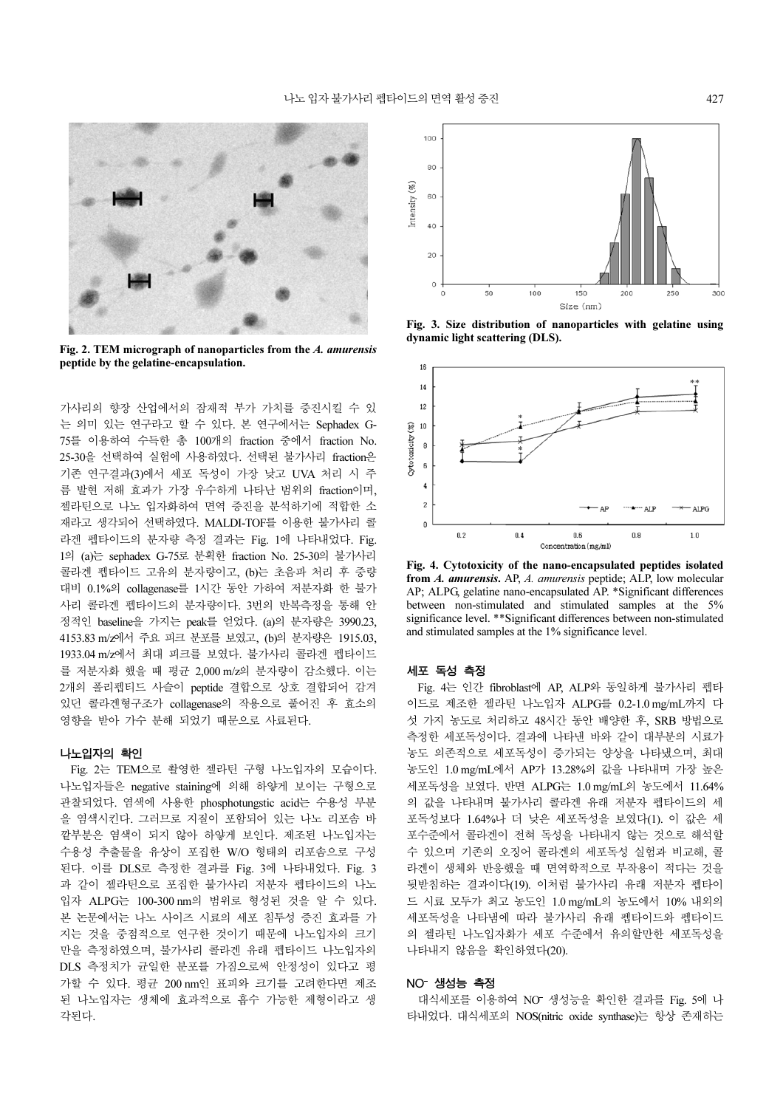

Fig. 2. TEM micrograph of nanoparticles from the A. amurensis peptide by the gelatine-encapsulation.

가사리의 향장 산업에서의 잠재적 부가 가치를 증진시킬 수 있 는 의미 있는 연구라고 할 수 있다. 본 연구에서는 Sephadex G-75를 이용하여 수득한 총 100개의 fraction 중에서 fraction No. 25-30을 선택하여 실험에 사용하였다. 선택된 불가사리 fraction은 기존 연구결과(3)에서 세포 독성이 가장 낮고 UVA 처리 시 주 름 발현 저해 효과가 가장 우수하게 나타난 범위의 fraction이며, 젤라틴으로 나노 입자화하여 면역 증진을 분석하기에 적합한 소 재라고 생각되어 선택하였다. MALDI-TOF를 이용한 불가사리 콜 라겐 펩타이드의 분자량 측정 결과는 Fig. 1에 나타내었다. Fig. 1의 (a)는 sephadex G-75로 분획한 fraction No. 25-30의 불가사리 콜라겐 펩타이드 고유의 분자량이고, (b)는 초음파 처리 후 중량 대비 0.1%의 collagenase를 1시간 동안 가하여 저분자화 한 불가 사리 콜라겐 펩타이드의 분자량이다. 3번의 반복측정을 통해 안 정적인 baseline을 가지는 peak를 얻었다. (a)의 분자량은 3990.23, 4153.83 m/z에서 주요 피크 분포를 보였고, (b)의 분자량은 1915.03, 1933.04 m/z에서 최대 피크를 보였다. 불가사리 콜라겐 펩타이드 를 저분자화 했을 때 평균 2,000 m/z의 분자량이 감소했다. 이는 2개의 폴리펩티드 사슬이 peptide 결합으로 상호 결합되어 감겨 있던 콜라겐형구조가 collagenase의 작용으로 풀어진 후 효소의 영향을 받아 가수 분해 되었기 때문으로 사료된다.

#### 나노입자의 확인

Fig. 2는 TEM으로 촬영한 젤라틴 구형 나노입자의 모습이다. 나노입자들은 negative staining에 의해 하얗게 보이는 구형으로 관찰되었다. 염색에 사용한 phosphotungstic acid는 수용성 부분 을 염색시킨다. 그러므로 지질이 포함되어 있는 나노 리포솜 바 깥부분은 염색이 되지 않아 하얗게 보인다. 제조된 나노입자는 수용성 추출물을 유상이 포집한 W/O 형태의 리포솜으로 구성 된다. 이를 DLS로 측정한 결과를 Fig. 3에 나타내었다. Fig. 3 과 같이 젤라틴으로 포집한 불가사리 저분자 펩타이드의 나노 입자 ALPG는 100-300 nm의 범위로 형성된 것을 알 수 있다. 본 논문에서는 나노 사이즈 시료의 세포 침투성 증진 효과를 가 지는 것을 중점적으로 연구한 것이기 때문에 나노입자의 크기 만을 측정하였으며, 불가사리 콜라겐 유래 펩타이드 나노입자의 DLS 측정치가 균일한 분포를 가짐으로써 안정성이 있다고 평 가할 수 있다. 평균 200 nm인 표피와 크기를 고려한다면 제조 된 나노입자는 생체에 효과적으로 흡수 가능한 제형이라고 생 각된다.



Fig. 3. Size distribution of nanoparticles with gelatine using dynamic light scattering (DLS).



Fig. 4. Cytotoxicity of the nano-encapsulated peptides isolated from A. amurensis. AP, A. amurensis peptide; ALP, low molecular AP; ALPG, gelatine nano-encapsulated AP. \*Significant differences between non-stimulated and stimulated samples at the 5% significance level. \*\*Significant differences between non-stimulated and stimulated samples at the 1% significance level.

#### 세포 독성 측정

Fig. 4는 인간 fibroblast에 AP, ALP와 동일하게 불가사리 펩타 이드로 제조한 젤라틴 나노입자 ALPG를 0.2-1.0 mg/mL까지 다 섯 가지 농도로 처리하고 48시간 동안 배양한 후, SRB 방법으로 측정한 세포독성이다. 결과에 나타낸 바와 같이 대부분의 시료가 농도 의존적으로 세포독성이 증가되는 양상을 나타냈으며, 최대 농도인 1.0 mg/mL에서 AP가 13.28%의 값을 나타내며 가장 높은 세포독성을 보였다. 반면 ALPG는 1.0 mg/mL의 농도에서 11.64% 의 값을 나타내며 불가사리 콜라겐 유래 저분자 펩타이드의 세 포독성보다 1.64%나 더 낮은 세포독성을 보였다(1). 이 값은 세 포수준에서 콜라겐이 전혀 독성을 나타내지 않는 것으로 해석할 수 있으며 기존의 오징어 콜라겐의 세포독성 실험과 비교해, 콜 라겐이 생체와 반응했을 때 면역학적으로 부작용이 적다는 것을 뒷받침하는 결과이다(19). 이처럼 불가사리 유래 저분자 펩타이 드 시료 모두가 최고 농도인 1.0 mg/mL의 농도에서 10% 내외의 세포독성을 나타냄에 따라 불가사리 유래 펩타이드와 펩타이드 의 젤라틴 나노입자화가 세포 수준에서 유의할만한 세포독성을 나타내지 않음을 확인하였다(20).

 $\mathbf{r}$ <mark>- <mark>생성능 측정</mark><br>H식세포를 이용<br>|었다. 대식세포</mark> 대식세포를 이용하여 NO− 생성능을 확인한 결과를 Fig. 5에 나<br>내었다. 대식세포의 NOS(nitric oxide synthase)는 항상 존재하는<br>-타내었다. 대식세포의 NOS(nitric oxide synthase)는 항상 존재하는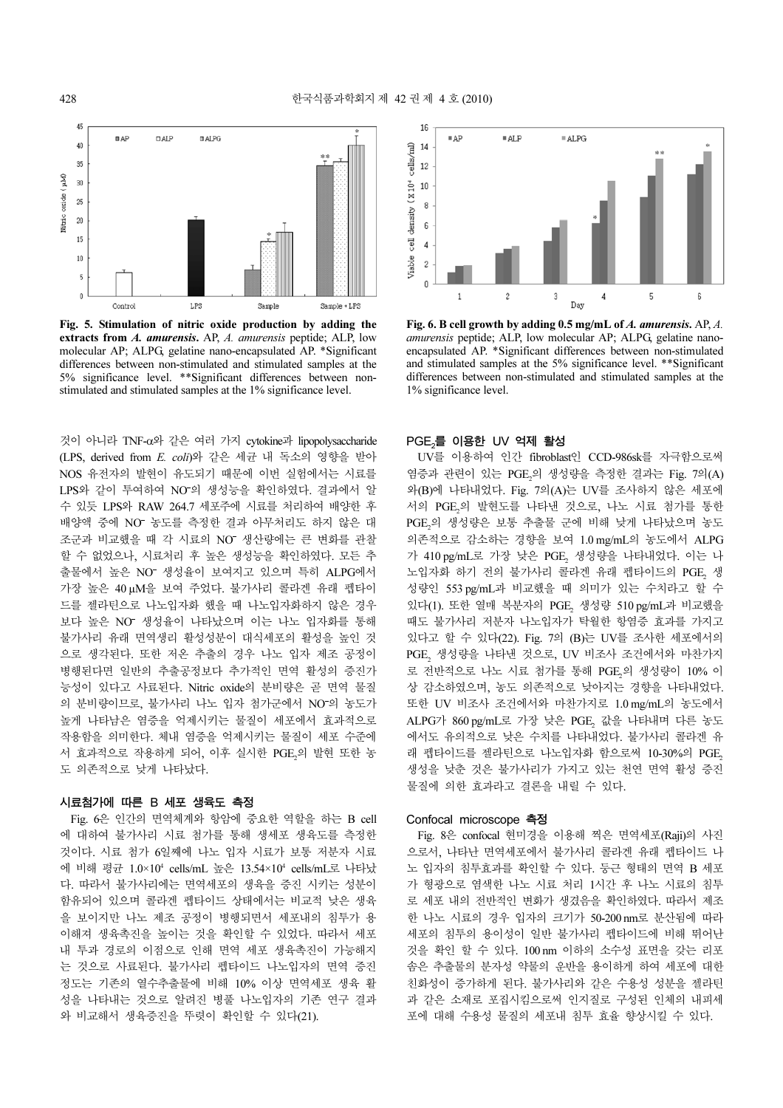

Fig. 5. Stimulation of nitric oxide production by adding the extracts from A. amurensis. AP, A. amurensis peptide; ALP, low molecular AP; ALPG, gelatine nano-encapsulated AP. \*Significant differences between non-stimulated and stimulated samples at the 5% significance level. \*\*Significant differences between nonstimulated and stimulated samples at the 1% significance level.

것이 아니라 TNF-α와 같은 여러 가지 cytokine과 lipopolysaccharide (LPS, derived from E. coli)와 같은 세균 내 독소의 영향을 받아 NOS 유전자의 발현이 유도되기 때문에 이번 실험에서는 시료를 LPS와 같이 투여하여 NO의 생성능을 확인하였다. 결과에서 알 − 수 있듯 LPS와 RAW 264.7 세포주에 시료를 처리하여 배양한 후 배양액 중에 NO 농도를 측정한 결과 아무처리도 하지 않은 대 − 농도를 측정한 결과 아무처리도 하지 않은 대<br>때 각 시료의 NO<sup>-</sup> 생산량에는 큰 변화를 관찰<br>시료처리 후 높은 생성능을 확인하였다. 모든 추 조군과 비교했을 때 각 시료의 NO− 생산량에는 큰 변화를 관찰<br>할 수 없었으나, 시료처리 후 높은 생성능을 확인하였다. 모든 추<br>출물에서 높은 NO− 생성율이 보여지고 있으며 특히 ALPG에서 할 수 없었으나, 시료처리 후 높은 생성능을 확인하였다. 모든 추 출물에서 높은 NO<sup>-</sup> 생성율이 보여지고 있으며 특히 ALPG에서 − 생성율이 보여지고 있으며 특히 ALPG에서<br>− 보여 주었다. 불가사리 콜라겐 유래 펩타이<br><mark>+노입자화 했을 때 나노입자화하지 않은 경</mark>우 가장 높은 40 µM을 보여 주었다. 불가사리 콜라겐 유래 펩타이 드를 젤라틴으로 나노입자화 했을 때 나노입자화하지 않은 경우 보다 높은 NO<sup>-</sup> 생성율이 나타났으며 이는 나노 입자화를 통해 보다 높은 NO<sup>−</sup> 생성율이 나타났으며 이는 나노 입자화를 통해<br>불가사리 유래 면역생리 활성성분이 대식세포의 활성을 높인 것<br>으로 생각된다. 또한 저온 추출의 경우 나노 입자 제조 공정이 불가사리 유래 면역생리 활성성분이 대식세포의 활성을 높인 것 병행된다면 일반의 추출공정보다 추가적인 면역 활성의 증진가 능성이 있다고 사료된다. Nitric oxide의 분비량은 곧 면역 물질 의 분비량이므로, 불가사리 나노 입자 첨가군에서 NO의 농도가 −<br>−<br>−<br>− 높게 나타남은 염증을 억제시키는 물질이 세포에서 효과적으로 작용함을 의미한다. 체내 염증을 억제시키는 물질이 세포 수준에 서 효과적으로 작용하게 되어, 이후 실시한 PGE2의 발현 또한 농 도 의존적으로 낮게 나타났다.

#### 시료첨가에 따른 B 세포 생육도 측정

Fig. 6은 인간의 면역체계와 항암에 중요한 역할을 하는 B cell 에 대하여 불가사리 시료 첨가를 통해 생세포 생육도를 측정한 것이다. 시료 첨가 6일째에 나노 입자 시료가 보통 저분자 시료 에 비해 평균 1.0×10<sup>4</sup> cells/mL 높은 13.54×10<sup>4</sup> cells/mL로 나타났 다. 따라서 불가사리에는 면역세포의 생육을 증진 시키는 성분이 함유되어 있으며 콜라겐 펩타이드 상태에서는 비교적 낮은 생육 을 보이지만 나노 제조 공정이 병행되면서 세포내의 침투가 용 이해져 생육촉진을 높이는 것을 확인할 수 있었다. 따라서 세포 내 투과 경로의 이점으로 인해 면역 세포 생육촉진이 가능해지 는 것으로 사료된다. 불가사리 펩타이드 나노입자의 면역 증진 정도는 기존의 열수추출물에 비해 10% 이상 면역세포 생육 활 성을 나타내는 것으로 알려진 병풀 나노입자의 기존 연구 결과 와 비교해서 생육증진을 뚜렷이 확인할 수 있다(21).



Fig. 6. B cell growth by adding 0.5 mg/mL of A. amurensis. AP, A. amurensis peptide; ALP, low molecular AP; ALPG, gelatine nanoencapsulated AP. \*Significant differences between non-stimulated and stimulated samples at the 5% significance level. \*\*Significant differences between non-stimulated and stimulated samples at the 1% significance level.

#### PGE.를 이용한 UV 억제 활성

. -\_\_\_\_ .\_\_\_ ... ... <u>-</u>\_<br>UV를 이용하여 인간 fibroblast인 CCD-986sk를 자극함으로써 염증과 관련이 있는 PGE<sub>2</sub>의 생성량을 측정한 결과는 Fig. 7의(A) 2 와(B)에 나타내었다. Fig. 7의(A)는 UV를 조사하지 않은 세포에 서의 PGE2의 발현도를 나타낸 것으로, 나노 시료 첨가를 통한 e<br>PGE<sub>2</sub>의 생성량은 보통 추출물 군에 비해 낮게 나타났으며 농도 2 의존적으로 감소하는 경향을 보여 1.0 mg/mL의 농도에서 ALPG 가 410 pg/mL로 가장 낮은 PGE<sub>2</sub> 생성량을 나타내었다. 이는 나 노입자화 하기 전의 불가사리 콜라겐 유래 펩타이드의 PGE<sub>2</sub> 생<br>신라인 550 년 5명 방문행은 웹 임리민 임부 승립법고 참 승 성량인 553 pg/mL과 비교했을 때 의미가 있는 수치라고 할 수 있다(1). 또한 열매 복분자의 PGE<sub>2</sub> 생성량 510 pg/mL과 비교했을 때도 불가사리 저분자 나노입자가 탁월한 항염증 효과를 가지고 있다고 할 수 있다(22). Fig. 7의 (B)는 UV를 조사한 세포에서의 PGE<sup>2</sup> 생성량을 나타<sup>낸</sup> 것으로, UV 비조사 조건에서와 마찬가지 로 전반적으로 나노 시료 첨가를 통해 PGE<sub>2</sub>의 생성량이 10% 이 2 상 감소하였으며, 농도 의존적으로 낮아지는 경향을 나타내었다. 또한 UV 비조사 조건에서와 마찬가지로 1.0 mg/mL의 농도에서 ALPG가 860 pg/mL로 가장 낮은 PGE<sub>2</sub> 값을 나타내며 다른 농도<br>- 시시드 유의감으로 나오 승규를 나타내었던 분단시간 클라맨 유 에서도 유의적으로 낮은 수치를 나타내었다. 불가사리 콜라겐 유 래 펩타이드를 젤라틴으로 나노입자화 함으로써 10-30%의 PGE.<br>생성을 낮춘 것은 불가사리가 가지고 있는 천연 면역 활성 증진 물질에 의한 효과라고 결론을 내릴 수 있다.

#### Confocal microscope 측정

Fig. 8은 confocal 현미경을 이용해 찍은 면역세포(Raji)의 사진 으로서, 나타난 면역세포에서 불가사리 콜라겐 유래 펩타이드 나 노 입자의 침투효과를 확인할 수 있다. 둥근 형태의 면역 B 세포 가 형광으로 염색한 나노 시료 처리 1시간 후 나노 시료의 침투 로 세포 내의 전반적인 변화가 생겼음을 확인하였다. 따라서 제조 한 나노 시료의 경우 입자의 크기가 50-200 nm로 분산됨에 따라 세포의 침투의 용이성이 일반 불가사리 펩타이드에 비해 뛰어난 것을 확인 할 수 있다. 100 nm 이하의 소수성 표면을 갖는 리포 솜은 추출물의 분자성 약물의 운반을 용이하게 하여 세포에 대한 친화성이 증가하게 된다. 불가사리와 같은 수용성 성분을 젤라틴 과 같은 소재로 포집시킴으로써 인지질로 구성된 인체의 내피세 포에 대해 수용성 물질의 세포내 침투 효율 향상시킬 수 있다.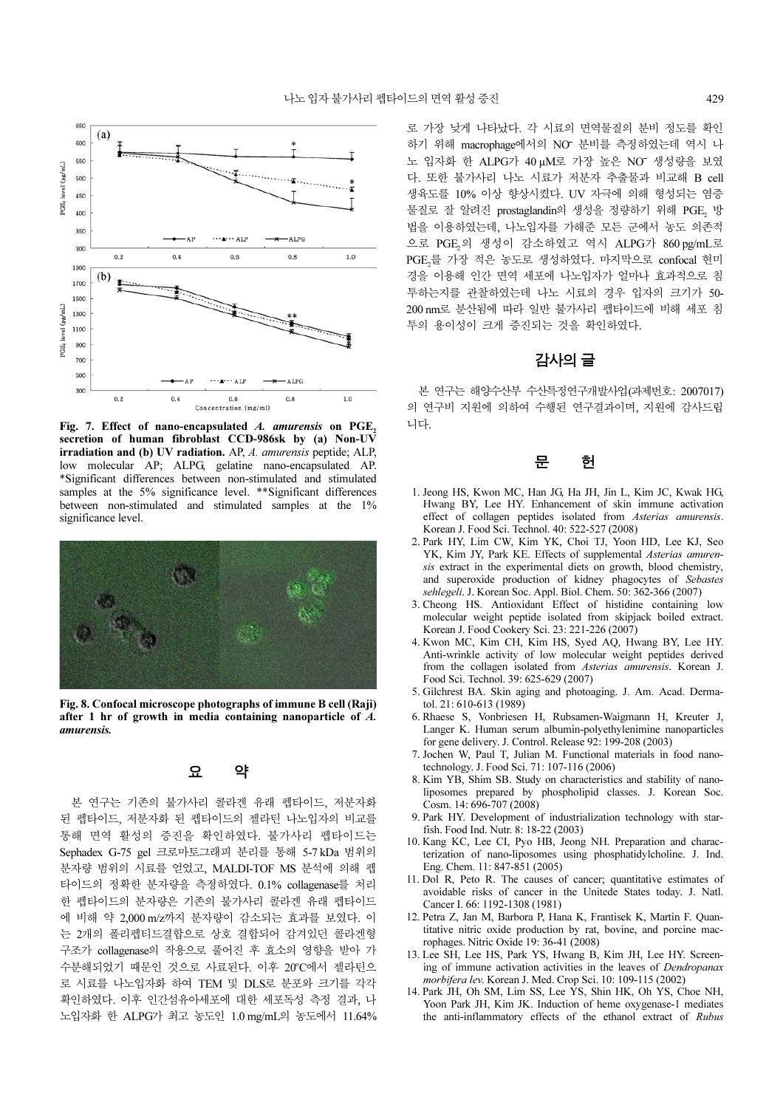

Fig. 7. Effect of nano-encapsulated  $A$ . amurensis on PGE<sub>2</sub> secretion of human fibroblast CCD-986sk by (a) Non-UV irradiation and (b) UV radiation. AP, A. amurensis peptide; ALP, low molecular AP; ALPG, gelatine nano-encapsulated AP. \*Significant differences between non-stimulated and stimulated samples at the 5% significance level. \*\*Significant differences between non-stimulated and stimulated samples at the 1% significance level.



Fig. 8. Confocal microscope photographs of immune B cell (Raji) after 1 hr of growth in media containing nanoparticle of A. amurensis.

## 요 약

본 연구는 기존의 불가사리 콜라겐 유래 펩타이드, 저분자화 된 펩타이드, 저분자화 된 펩타이드의 젤라틴 나노입자의 비교를 통해 면역 활성의 증진을 확인하였다. 불가사리 펩타이드는 Sephadex G-75 gel 크로마토그래피 분리를 통해 5-7 kDa 범위의 분자량 범위의 시료를 얻었고, MALDI-TOF MS 분석에 의해 펩 타이드의 정확한 분자량을 측정하였다. 0.1% collagenase를 처리 한 펩타이드의 분자량은 기존의 불가사리 콜라겐 유래 펩타이드 에 비해 약 2,000 m/z까지 분자량이 감소되는 효과를 보였다. 이 는 2개의 폴리펩티드결합으로 상호 결합되어 감겨있던 콜라겐형 구조가 collagenase의 작용으로 풀어진 후 효소의 영향을 받아 가 수분해되었기 때문인 것으로 사료된다. 이후 20°C에서 젤라틴으 로 시료를 나노입자화 하여 TEM 및 DLS로 분포와 크기를 각각 확인하였다. 이후 인간섬유아세포에 대한 세포독성 측정 결과, 나 노입자화 한 ALPG가 최고 농도인 1.0 mg/mL의 농도에서 11.64%

로 가장 낮게 나타났다. 각 시료의 면역물질의 분비 정도를 확인 하기 위해 macrophage에서의 NO<sup>-</sup> 분비를 측정하였는데 역시 나 − 분비를 측정하였는데 역시 나<br>가장 높은 NO<sup>−</sup> 생성량을 보였<br>저분자 추출물과 비교해 B cell 노 입자화 한 ALPG가 40μM로 가장 높은 NO− 생성량을 보였<br>다. 또한 불가사리 나노 시료가 저분자 추출물과 비교해 B cell<br>생육도를 10% 이상 항상시켰다. UV 자극에 의해 형성되는 염증 다. 또한 불가사리 나노 시료가 저분자 추출물과 비교해 B cell 생육도를 10% 이상 향상시켰다. UV 자극에 의해 형성되는 염증 물질로 잘 알려진 prostaglandin의 생성을 정량하기 위해 PGE<sub>2</sub> 방<br>31.0 : 1.0 기업 : 31.0 이 글 - 31.7 그도 그렇게 보도 없죠라 법을 이용하였는데, 나노입자를 가해준 모든 군에서 농도 의존적 으로 PGE<sub>2</sub>의 생성이 감소하였고 역시 ALPG가 860 pg/mL로<br>PSE 를 리핀 같은 ktd - "WARPS alpha alpha alpha alpha PGE를 가장 적은 농도로 생성하였다. 마지막으로 confocal 현미 2 경을 이용해 인간 면역 세포에 나노입자가 얼마나 효과적으로 침 투하는지를 관찰하였는데 나노 시료의 경우 입자의 크기가 50- 200 nm로 분산됨에 따라 일반 불가사리 펩타이드에 비해 세포 침 투의 용이성이 크게 증진되는 것을 확인하였다.

## 감사의글

본 연구는 해양수산부 수산특정연구개발사업(과제번호: 2007017) 의 연구비 지원에 의하여 수행된 연구결과이며, 지원에 감사드립 니다.

## 문 헌

- 1. Jeong HS, Kwon MC, Han JG, Ha JH, Jin L, Kim JC, Kwak HG, Hwang BY, Lee HY. Enhancement of skin immune activation effect of collagen peptides isolated from Asterias amurensis. Korean J. Food Sci. Technol. 40: 522-527 (2008)
- 2. Park HY, Lim CW, Kim YK, Choi TJ, Yoon HD, Lee KJ, Seo YK, Kim JY, Park KE. Effects of supplemental Asterias amurensis extract in the experimental diets on growth, blood chemistry, and superoxide production of kidney phagocytes of Sebastes sehlegeli. J. Korean Soc. Appl. Biol. Chem. 50: 362-366 (2007)
- 3. Cheong HS. Antioxidant Effect of histidine containing low molecular weight peptide isolated from skipjack boiled extract. Korean J. Food Cookery Sci. 23: 221-226 (2007)
- 4. Kwon MC, Kim CH, Kim HS, Syed AQ, Hwang BY, Lee HY. Anti-wrinkle activity of low molecular weight peptides derived from the collagen isolated from Asterias amurensis. Korean J. Food Sci. Technol. 39: 625-629 (2007)
- 5. Gilchrest BA. Skin aging and photoaging. J. Am. Acad. Dermatol. 21: 610-613 (1989)
- 6. Rhaese S, Vonbriesen H, Rubsamen-Waigmann H, Kreuter J, Langer K. Human serum albumin-polyethylenimine nanoparticles for gene delivery. J. Control. Release 92: 199-208 (2003)
- 7. Jochen W, Paul T, Julian M. Functional materials in food nanotechnology. J. Food Sci. 71: 107-116 (2006)
- 8. Kim YB, Shim SB. Study on characteristics and stability of nanoliposomes prepared by phospholipid classes. J. Korean Soc. Cosm. 14: 696-707 (2008)
- 9. Park HY. Development of industrialization technology with starfish. Food Ind. Nutr. 8: 18-22 (2003)
- 10. Kang KC, Lee CI, Pyo HB, Jeong NH. Preparation and characterization of nano-liposomes using phosphatidylcholine. J. Ind. Eng. Chem. 11: 847-851 (2005)
- 11. Dol R, Peto R. The causes of cancer; quantitative estimates of avoidable risks of cancer in the Unitede States today. J. Natl. Cancer I. 66: 1192-1308 (1981)
- 12. Petra Z, Jan M, Barbora P, Hana K, Frantisek K, Martin F. Quantitative nitric oxide production by rat, bovine, and porcine macrophages. Nitric Oxide 19: 36-41 (2008)
- 13. Lee SH, Lee HS, Park YS, Hwang B, Kim JH, Lee HY. Screening of immune activation activities in the leaves of Dendropanax morbifera lev. Korean J. Med. Crop Sci. 10: 109-115 (2002)
- 14. Park JH, Oh SM, Lim SS, Lee YS, Shin HK, Oh YS, Choe NH, Yoon Park JH, Kim JK. Induction of heme oxygenase-1 mediates the anti-inflammatory effects of the ethanol extract of Rubus